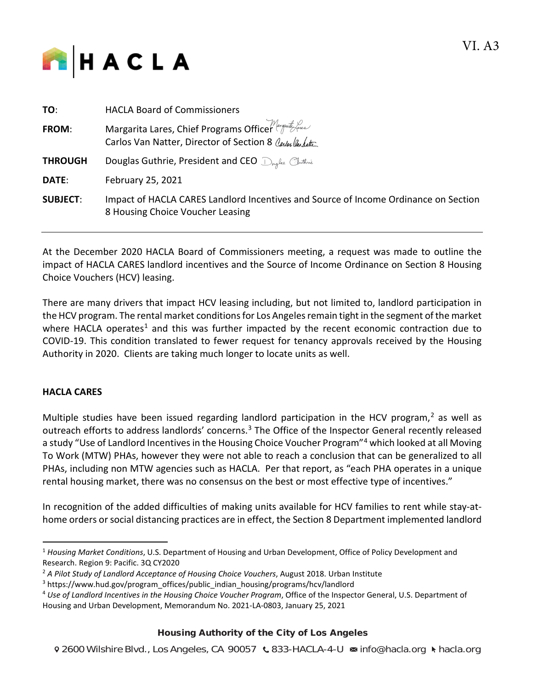

| TO:             | <b>HACLA Board of Commissioners</b>                                                                                     |
|-----------------|-------------------------------------------------------------------------------------------------------------------------|
| FROM:           | Margarita Lares, Chief Programs Officer (martingular<br>Carlos Van Natter, Director of Section 8 Carlos Van Latte       |
| <b>THROUGH</b>  | Douglas Guthrie, President and CEO D <sub>rugua</sub> Cluthrie                                                          |
| <b>DATE:</b>    | February 25, 2021                                                                                                       |
| <b>SUBJECT:</b> | Impact of HACLA CARES Landlord Incentives and Source of Income Ordinance on Section<br>8 Housing Choice Voucher Leasing |

At the December 2020 HACLA Board of Commissioners meeting, a request was made to outline the impact of HACLA CARES landlord incentives and the Source of Income Ordinance on Section 8 Housing Choice Vouchers (HCV) leasing.

There are many drivers that impact HCV leasing including, but not limited to, landlord participation in the HCV program. The rental market conditions for Los Angeles remain tight in the segment of the market where HACLA operates<sup>[1](#page-0-0)</sup> and this was further impacted by the recent economic contraction due to COVID-19. This condition translated to fewer request for tenancy approvals received by the Housing Authority in 2020. Clients are taking much longer to locate units as well.

# **HACLA CARES**

Multiple studies have been issued regarding landlord participation in the HCV program, $<sup>2</sup>$  $<sup>2</sup>$  $<sup>2</sup>$  as well as</sup> outreach efforts to address landlords' concerns.<sup>[3](#page-0-2)</sup> The Office of the Inspector General recently released a study "Use of Landlord Incentives in the Housing Choice Voucher Program"[4](#page-0-3) which looked at all Moving To Work (MTW) PHAs, however they were not able to reach a conclusion that can be generalized to all PHAs, including non MTW agencies such as HACLA. Per that report, as "each PHA operates in a unique rental housing market, there was no consensus on the best or most effective type of incentives."

In recognition of the added difficulties of making units available for HCV families to rent while stay-athome orders or social distancing practices are in effect, the Section 8 Department implemented landlord

# Housing Authority of the City of Los Angeles

<span id="page-0-0"></span><sup>1</sup> *Housing Market Conditions*, U.S. Department of Housing and Urban Development, Office of Policy Development and Research. Region 9: Pacific. 3Q CY2020

<span id="page-0-1"></span><sup>&</sup>lt;sup>2</sup> A Pilot Study of Landlord Acceptance of Housing Choice Vouchers, August 2018. Urban Institute

<span id="page-0-2"></span><sup>3</sup> https://www.hud.gov/program\_offices/public\_indian\_housing/programs/hcv/landlord

<span id="page-0-3"></span><sup>4</sup> *Use of Landlord Incentives in the Housing Choice Voucher Program*, Office of the Inspector General, U.S. Department of Housing and Urban Development, Memorandum No. 2021-LA-0803, January 25, 2021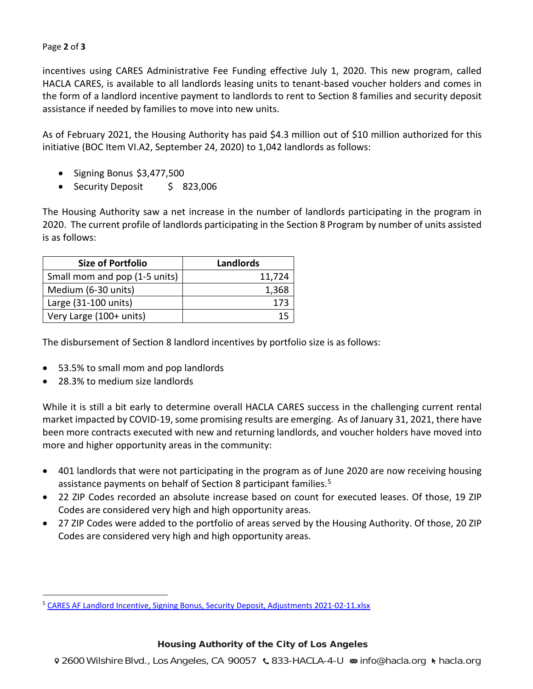#### Page **2** of **3**

incentives using CARES Administrative Fee Funding effective July 1, 2020. This new program, called HACLA CARES, is available to all landlords leasing units to tenant-based voucher holders and comes in the form of a landlord incentive payment to landlords to rent to Section 8 families and security deposit assistance if needed by families to move into new units.

As of February 2021, the Housing Authority has paid \$4.3 million out of \$10 million authorized for this initiative (BOC Item VI.A2, September 24, 2020) to 1,042 landlords as follows:

- Signing Bonus \$3,477,500
- Security Deposit \$ 823,006

The Housing Authority saw a net increase in the number of landlords participating in the program in 2020. The current profile of landlords participating in the Section 8 Program by number of units assisted is as follows:

| <b>Size of Portfolio</b>      | <b>Landlords</b> |
|-------------------------------|------------------|
| Small mom and pop (1-5 units) | 11,724           |
| Medium (6-30 units)           | 1,368            |
| Large (31-100 units)          | 173              |
| Very Large (100+ units)       |                  |

The disbursement of Section 8 landlord incentives by portfolio size is as follows:

- 53.5% to small mom and pop landlords
- 28.3% to medium size landlords

 $\overline{a}$ 

While it is still a bit early to determine overall HACLA CARES success in the challenging current rental market impacted by COVID-19, some promising results are emerging. As of January 31, 2021, there have been more contracts executed with new and returning landlords, and voucher holders have moved into more and higher opportunity areas in the community:

- 401 landlords that were not participating in the program as of June 2020 are now receiving housing assistance payments on behalf of Section 8 participant families.<sup>[5](#page-1-0)</sup>
- 22 ZIP Codes recorded an absolute increase based on count for executed leases. Of those, 19 ZIP Codes are considered very high and high opportunity areas.
- 27 ZIP Codes were added to the portfolio of areas served by the Housing Authority. Of those, 20 ZIP Codes are considered very high and high opportunity areas.

# Housing Authority of the City of Los Angeles

<span id="page-1-0"></span><sup>&</sup>lt;sup>5</sup> CARES AF Landlord Incentive, Signing Bonus, Security Deposit, Adjustments 2021-02-11.xlsx